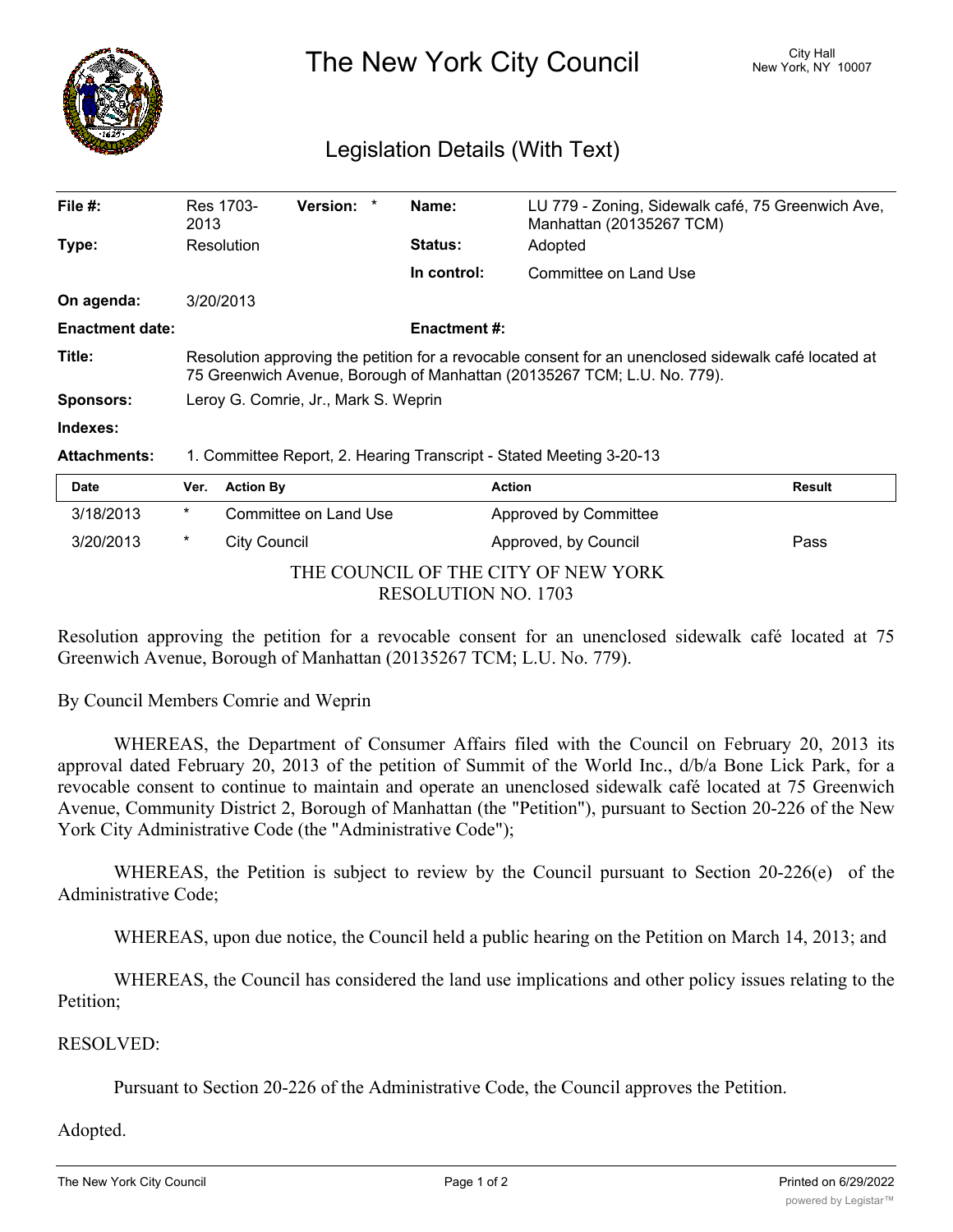

The New York City Council New York, NY 10007

## Legislation Details (With Text)

| File $#$ :             | Res 1703-<br>2013                                                                                                                                                               | <b>Version:</b> | Name:               | LU 779 - Zoning, Sidewalk café, 75 Greenwich Ave,<br>Manhattan (20135267 TCM) |               |  |  |
|------------------------|---------------------------------------------------------------------------------------------------------------------------------------------------------------------------------|-----------------|---------------------|-------------------------------------------------------------------------------|---------------|--|--|
| Type:                  | Resolution                                                                                                                                                                      |                 | <b>Status:</b>      | Adopted                                                                       |               |  |  |
|                        |                                                                                                                                                                                 |                 | In control:         | Committee on Land Use                                                         |               |  |  |
| On agenda:             | 3/20/2013                                                                                                                                                                       |                 |                     |                                                                               |               |  |  |
| <b>Enactment date:</b> |                                                                                                                                                                                 |                 | <b>Enactment #:</b> |                                                                               |               |  |  |
| Title:                 | Resolution approving the petition for a revocable consent for an unenclosed sidewalk café located at<br>75 Greenwich Avenue, Borough of Manhattan (20135267 TCM; L.U. No. 779). |                 |                     |                                                                               |               |  |  |
| <b>Sponsors:</b>       | Leroy G. Comrie, Jr., Mark S. Weprin                                                                                                                                            |                 |                     |                                                                               |               |  |  |
| Indexes:               |                                                                                                                                                                                 |                 |                     |                                                                               |               |  |  |
| <b>Attachments:</b>    | 1. Committee Report, 2. Hearing Transcript - Stated Meeting 3-20-13                                                                                                             |                 |                     |                                                                               |               |  |  |
| Date                   | Ver.<br><b>Action By</b>                                                                                                                                                        |                 |                     | <b>Action</b>                                                                 | <b>Result</b> |  |  |

| 3/18/2013           | *                                   | Committee on Land Use | <b>Approved by Committee</b> |      |  |  |
|---------------------|-------------------------------------|-----------------------|------------------------------|------|--|--|
| 3/20/2013           |                                     | City Council          | Approved, by Council         | Pass |  |  |
|                     | THE COUNCIL OF THE CITY OF NEW YORK |                       |                              |      |  |  |
| RESOLUTION NO. 1703 |                                     |                       |                              |      |  |  |

Resolution approving the petition for a revocable consent for an unenclosed sidewalk café located at 75 Greenwich Avenue, Borough of Manhattan (20135267 TCM; L.U. No. 779).

By Council Members Comrie and Weprin

WHEREAS, the Department of Consumer Affairs filed with the Council on February 20, 2013 its approval dated February 20, 2013 of the petition of Summit of the World Inc., d/b/a Bone Lick Park, for a revocable consent to continue to maintain and operate an unenclosed sidewalk café located at 75 Greenwich Avenue, Community District 2, Borough of Manhattan (the "Petition"), pursuant to Section 20-226 of the New York City Administrative Code (the "Administrative Code");

WHEREAS, the Petition is subject to review by the Council pursuant to Section 20-226(e) of the Administrative Code;

WHEREAS, upon due notice, the Council held a public hearing on the Petition on March 14, 2013; and

WHEREAS, the Council has considered the land use implications and other policy issues relating to the Petition;

## RESOLVED:

Pursuant to Section 20-226 of the Administrative Code, the Council approves the Petition.

## Adopted.